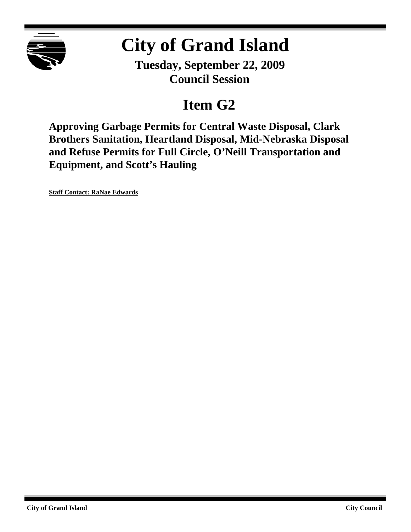

# **City of Grand Island**

**Tuesday, September 22, 2009 Council Session**

## **Item G2**

**Approving Garbage Permits for Central Waste Disposal, Clark Brothers Sanitation, Heartland Disposal, Mid-Nebraska Disposal and Refuse Permits for Full Circle, O'Neill Transportation and Equipment, and Scott's Hauling**

**Staff Contact: RaNae Edwards**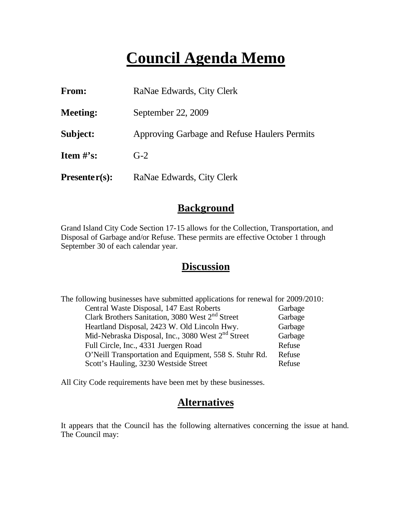## **Council Agenda Memo**

| From:           | RaNae Edwards, City Clerk                    |
|-----------------|----------------------------------------------|
| <b>Meeting:</b> | September 22, 2009                           |
| Subject:        | Approving Garbage and Refuse Haulers Permits |
| Item $\#$ 's:   | $G-2$                                        |
| $Presenter(s):$ | RaNae Edwards, City Clerk                    |

### **Background**

Grand Island City Code Section 17-15 allows for the Collection, Transportation, and Disposal of Garbage and/or Refuse. These permits are effective October 1 through September 30 of each calendar year.

### **Discussion**

| The following businesses have submitted applications for renewal for 2009/2010: |         |
|---------------------------------------------------------------------------------|---------|
| Central Waste Disposal, 147 East Roberts                                        | Garbage |
| Clark Brothers Sanitation, 3080 West 2 <sup>nd</sup> Street                     | Garbage |
| Heartland Disposal, 2423 W. Old Lincoln Hwy.                                    | Garbage |
| Mid-Nebraska Disposal, Inc., 3080 West 2 <sup>nd</sup> Street                   | Garbage |
| Full Circle, Inc., 4331 Juergen Road                                            | Refuse  |
| O'Neill Transportation and Equipment, 558 S. Stuhr Rd.                          | Refuse  |
| Scott's Hauling, 3230 Westside Street                                           | Refuse  |

All City Code requirements have been met by these businesses.

### **Alternatives**

It appears that the Council has the following alternatives concerning the issue at hand. The Council may: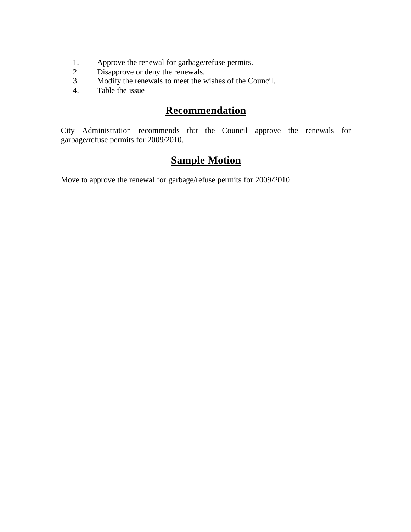- 1. Approve the renewal for garbage/refuse permits.
- 2. Disapprove or deny the renewals.
- 3. Modify the renewals to meet the wishes of the Council.
- 4. Table the issue

### **Recommendation**

City Administration recommends that the Council approve the renewals for garbage/refuse permits for 2009/2010.

### **Sample Motion**

Move to approve the renewal for garbage/refuse permits for 2009/2010.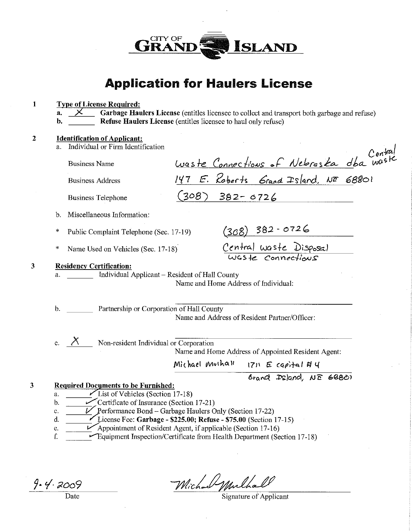

|    | <b>Identification of Applicant:</b><br>a. Individual or Firm Identification |                                                                                      |
|----|-----------------------------------------------------------------------------|--------------------------------------------------------------------------------------|
|    | <b>Business Name</b>                                                        | Luaste Connections of Nebraska dba waste<br>1117 - Connections of Nebraska dba waste |
|    | <b>Business Address</b>                                                     | 147 E. Roberts Grand Island, NE 68801                                                |
|    | <b>Business Telephone</b>                                                   | $(308)$ $382 - 0726$                                                                 |
| b. | Miscellaneous Information:                                                  |                                                                                      |
| ∗  | Public Complaint Telephone (Sec. 17-19)                                     | $(308)$ 382-0726                                                                     |
| *  | Name Used on Vehicles (Sec. 17-18)                                          | Central waste Disposal<br>Waste Connections                                          |
|    | <b>Residency Certification:</b>                                             |                                                                                      |
|    | Individual Applicant - Resident of Hall County                              | Name and Home Address of Individual:                                                 |
| b. | Partnership or Corporation of Hall County                                   | Name and Address of Resident Partner/Officer:                                        |
|    | Non-resident Individual or Corporation                                      | Name and Home Address of Appointed Resident Agent:                                   |
|    |                                                                             | Michael Mulhall 1711 E capital #4                                                    |
|    |                                                                             | Brancl Island, NE 6880)<br><b>Required Documents to be Furnished:</b>                |

 $9.4.2009$ 

Michael Mm

Signature of Applicant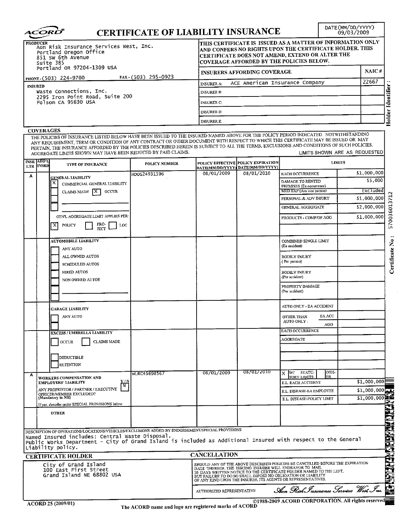| <i><b>LCORL</b></i>                                                                                                                                                                                                                                                                                                                                                                                                                                                                  | <b>CERTIFICATE OF LIABILITY INSURANCE</b> |                                                                         |                                    |                                                                                                                                                                                                                                                                                                                                                 | DATE (MM/DD/YYYY)<br>09/03/2009 |
|--------------------------------------------------------------------------------------------------------------------------------------------------------------------------------------------------------------------------------------------------------------------------------------------------------------------------------------------------------------------------------------------------------------------------------------------------------------------------------------|-------------------------------------------|-------------------------------------------------------------------------|------------------------------------|-------------------------------------------------------------------------------------------------------------------------------------------------------------------------------------------------------------------------------------------------------------------------------------------------------------------------------------------------|---------------------------------|
| <b>PRODUCER</b><br>Aon Risk Insurance Services West, Inc.<br>Portland Oregon Office<br>851 SW 6th Avenue<br>Suite 385                                                                                                                                                                                                                                                                                                                                                                |                                           |                                                                         |                                    | THIS CERTIFICATE IS ISSUED AS A MATTER OF INFORMATION ONLY<br>AND CONFERS NO RIGHTS UPON THE CERTIFICATE HOLDER. THIS<br>CERTIFICATE DOES NOT AMEND, EXTEND OR ALTER THE<br>COVERAGE AFFORDED BY THE POLICIES BELOW.                                                                                                                            |                                 |
| Portland OR 97204-1309 USA                                                                                                                                                                                                                                                                                                                                                                                                                                                           |                                           |                                                                         | <b>INSURERS AFFORDING COVERAGE</b> |                                                                                                                                                                                                                                                                                                                                                 | NAIC#                           |
| PHONE - (503) 224-9700                                                                                                                                                                                                                                                                                                                                                                                                                                                               | FAX (503) 295-0923                        | <b>INSURER A:</b>                                                       |                                    | ACE American Insurance Company                                                                                                                                                                                                                                                                                                                  | 22667                           |
| <b>INSURED</b><br>Waste Connections, Inc.                                                                                                                                                                                                                                                                                                                                                                                                                                            |                                           | <b>INSURER B:</b>                                                       |                                    |                                                                                                                                                                                                                                                                                                                                                 | Holder Identifier               |
| 2295 Iron Point Road, Suite 200<br>Folsom CA 95630 USA                                                                                                                                                                                                                                                                                                                                                                                                                               |                                           | <b>INSURER C:</b>                                                       |                                    |                                                                                                                                                                                                                                                                                                                                                 |                                 |
|                                                                                                                                                                                                                                                                                                                                                                                                                                                                                      |                                           | <b>INSURER D:</b>                                                       |                                    |                                                                                                                                                                                                                                                                                                                                                 |                                 |
|                                                                                                                                                                                                                                                                                                                                                                                                                                                                                      |                                           | <b>INSURER E:</b>                                                       |                                    |                                                                                                                                                                                                                                                                                                                                                 |                                 |
| <b>COVERAGES</b>                                                                                                                                                                                                                                                                                                                                                                                                                                                                     |                                           |                                                                         |                                    |                                                                                                                                                                                                                                                                                                                                                 |                                 |
| THE POLICIES OF INSURANCE LISTED BELOW HAVE BEEN ISSUED TO THE INSURED NAMED ABOVE FOR THE POLICY PERIOD INDICATED. NOTWITHSTANDING<br>ANY REQUIREMENT, TERM OR CONDITION OF ANY CONTRACT OR OTHER DOCUMENT WITH RESPECT TO WHICH THIS CERTIFICATE MAY BE ISSUED OR MAY<br>PERTAIN, THE INSURANCE AFFORDED BY THE POLICIES DESCRIBED HEREIN IS SUBJECT TO ALL THE TERMS, EXCLUSIONS AND CONDITIONS OF SUCH POLICIES.<br>AGGREGATE LIMITS SHOWN MAY HAVE BEEN REDUCED BY PAID CLAIMS. |                                           |                                                                         |                                    | LIMITS SHOWN ARE AS REQUESTED                                                                                                                                                                                                                                                                                                                   |                                 |
| <b>INSR ADD'L</b><br>TYPE OF INSURANCE<br>LTR INSRD                                                                                                                                                                                                                                                                                                                                                                                                                                  | <b>POLICY NUMBER</b>                      | POLICY EFFECTIVE POLICY EXPIRATION<br>DATE(MM/DD/YYYY) DATE(MM/DD/YYYY) |                                    | <b>LIMITS</b>                                                                                                                                                                                                                                                                                                                                   |                                 |
| Α                                                                                                                                                                                                                                                                                                                                                                                                                                                                                    | HD0G24931596                              | 08/01/2009                                                              | 08/01/2010                         | <b>EACH OCCURRENCE</b>                                                                                                                                                                                                                                                                                                                          | \$1,000,000                     |
| GENERAL LIABILITY<br>COMMERCIAL GENERAL LIABILITY<br>CLAIMS MADE   X   OCCUR                                                                                                                                                                                                                                                                                                                                                                                                         |                                           |                                                                         |                                    | DAMAGE TO RENTED<br>PREMISES (Ea occurrence)<br>MED EXP (Any one person)                                                                                                                                                                                                                                                                        | \$5,000<br>Excluded             |
|                                                                                                                                                                                                                                                                                                                                                                                                                                                                                      |                                           |                                                                         |                                    | PERSONAL & ADV INJURY                                                                                                                                                                                                                                                                                                                           | \$1,000,000                     |
|                                                                                                                                                                                                                                                                                                                                                                                                                                                                                      |                                           |                                                                         |                                    | <b>GENERAL AGGREGATE</b>                                                                                                                                                                                                                                                                                                                        | \$2,000,000                     |
| GEN'L AGGREGATE LIMIT APPLIES PER:<br>PRO-<br>JECT<br>POLICY<br>LOC                                                                                                                                                                                                                                                                                                                                                                                                                  |                                           |                                                                         |                                    | PRODUCTS - COMP/OP AGG                                                                                                                                                                                                                                                                                                                          | \$1,000,000                     |
| <b>AUTOMOBILE LIABILITY</b><br>ANY AUTO                                                                                                                                                                                                                                                                                                                                                                                                                                              |                                           |                                                                         |                                    | COMBINED SINGLE LIMIT<br>(Ea accident)                                                                                                                                                                                                                                                                                                          |                                 |
| ALL OWNED AUTOS<br><b>SCHEDULED AUTOS</b>                                                                                                                                                                                                                                                                                                                                                                                                                                            |                                           |                                                                         |                                    | <b>BODILY INJURY</b><br>(Per person)                                                                                                                                                                                                                                                                                                            |                                 |
| <b>HIRED AUTOS</b><br>NON OWNED AUTOS                                                                                                                                                                                                                                                                                                                                                                                                                                                |                                           |                                                                         |                                    | <b>BODILY INJURY</b><br>(Per accident)                                                                                                                                                                                                                                                                                                          |                                 |
|                                                                                                                                                                                                                                                                                                                                                                                                                                                                                      |                                           |                                                                         |                                    | PROPERTY DAMAGE<br>(Per accident)                                                                                                                                                                                                                                                                                                               |                                 |
| <b>GARAGE LIABILITY</b>                                                                                                                                                                                                                                                                                                                                                                                                                                                              |                                           |                                                                         |                                    | AUTO ONLY - EA ACCIDENT                                                                                                                                                                                                                                                                                                                         |                                 |
| ANY AUTO                                                                                                                                                                                                                                                                                                                                                                                                                                                                             |                                           |                                                                         |                                    | EA ACC<br>OTHER THAN<br>AUTO ONLY:<br>AGG                                                                                                                                                                                                                                                                                                       |                                 |
| <b>EXCESS / UMBRELLA LIABILITY</b>                                                                                                                                                                                                                                                                                                                                                                                                                                                   |                                           |                                                                         |                                    | <b>EACH OCCURRENCE</b>                                                                                                                                                                                                                                                                                                                          |                                 |
| <b>CLAIMS MADE</b><br><b>OCCUR</b>                                                                                                                                                                                                                                                                                                                                                                                                                                                   |                                           |                                                                         |                                    | <b>AGGREGATE</b>                                                                                                                                                                                                                                                                                                                                |                                 |
| DEDUCTIBLE<br><b>RETENTION</b>                                                                                                                                                                                                                                                                                                                                                                                                                                                       |                                           |                                                                         |                                    |                                                                                                                                                                                                                                                                                                                                                 |                                 |
| А<br><b>WORKERS COMPENSATION AND</b>                                                                                                                                                                                                                                                                                                                                                                                                                                                 | WLRC45698567                              | 08/01/2009                                                              | 0870172010                         | WC STATU-<br>OTH-<br>X<br>TORY LIMITS<br>ER                                                                                                                                                                                                                                                                                                     |                                 |
| <b>EMPLOYERS' LIABILITY</b>                                                                                                                                                                                                                                                                                                                                                                                                                                                          | $\blacksquare$                            |                                                                         |                                    | E.L. EACH ACCIDENT                                                                                                                                                                                                                                                                                                                              | \$1,000,000                     |
| ANY PROPRIETOR / PARTNER / EXECUTIVE<br>OFFICER/MEMBER EXCLUDED?<br>(Mandatory in NH)                                                                                                                                                                                                                                                                                                                                                                                                |                                           |                                                                         |                                    | E.L. DISEASE-EA EMPLOYEE                                                                                                                                                                                                                                                                                                                        | \$1,000,000<br>\$1,000,000      |
| If yes, describe under SPECIAL PROVISIONS below                                                                                                                                                                                                                                                                                                                                                                                                                                      |                                           |                                                                         |                                    | E.L. DISEASE-POLICY LIMIT                                                                                                                                                                                                                                                                                                                       |                                 |
| <b>OTHER</b>                                                                                                                                                                                                                                                                                                                                                                                                                                                                         |                                           |                                                                         |                                    |                                                                                                                                                                                                                                                                                                                                                 |                                 |
| DESCRIPTION OF OPERATIONS/LOCATIONS/VEHICLES/EXCLUSIONS ADDED BY ENDORSEMENT/SPECIAL PROVISIONS                                                                                                                                                                                                                                                                                                                                                                                      |                                           |                                                                         |                                    |                                                                                                                                                                                                                                                                                                                                                 |                                 |
| Named Insured includes: Central Waste Disposal.<br>Public Works Department - City of Grand Island is included as Additional Insured with respect to the General<br>Liability policy.                                                                                                                                                                                                                                                                                                 |                                           |                                                                         |                                    |                                                                                                                                                                                                                                                                                                                                                 |                                 |
| <b>CERTIFICATE HOLDER</b>                                                                                                                                                                                                                                                                                                                                                                                                                                                            |                                           | <b>CANCELLATION</b>                                                     |                                    |                                                                                                                                                                                                                                                                                                                                                 |                                 |
| City of Grand Island<br>100 East First Street<br>Grand Island NE 68802 USA                                                                                                                                                                                                                                                                                                                                                                                                           |                                           |                                                                         |                                    | SHOULD ANY OF THE ABOVE DESCRIBED POLICIES BE CANCELLED BEFORE THE EXPIRATION<br>DATE THEREOF, THE ISSUING INSURER WILL ENDEAVOR TO MAIL<br>30 DAYS WRITTEN NOTICE TO THE CERTIFICATE HOLDER NAMED TO THE LEFT.<br>BUT FAILURE TO DO SO SHALL IMPOSE NO OBLIGATION OR LIABILITY<br>OF ANY KIND UPON THE INSURER, ITS AGENTS OR REPRESENTATIVES. | <b>WEBSTERFAMENT BEATHER</b>    |
|                                                                                                                                                                                                                                                                                                                                                                                                                                                                                      |                                           |                                                                         |                                    | Aon Risk Insurance Services West, Inc.                                                                                                                                                                                                                                                                                                          |                                 |
|                                                                                                                                                                                                                                                                                                                                                                                                                                                                                      |                                           | AUTHORIZED REPRESENTATIVE                                               |                                    |                                                                                                                                                                                                                                                                                                                                                 |                                 |

r

٦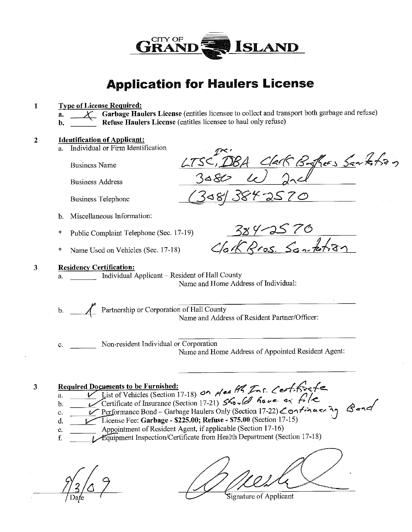

 $\mathbf{1}$ **Type of License Required:** Garbage Haulers License (entitles licensee to collect and transport both garbage and refuse) Refuse Haulers License (entitles licensee to haul only refuse) **Identification of Applicant:**  $\overline{2}$ Individual or Firm Identification  $a<sub>z</sub>$ LTSC, DBA Clark Baffers Sanktian **Business Name Business Address** <u>308/3842570</u> **Business Telephone** Miscellaneous Information:  $<sub>b</sub>$ </sub>  $\frac{384-2570}{\sqrt{aKRros.}$ Public Complaint Telephone (Sec. 17-19) Name Used on Vehicles (Sec. 17-18)  $\ast$ 3 **Residency Certification:** Individual Applicant – Resident of Hall County Name and Home Address of Individual: b. <u>A</u> Partnership or Corporation of Hall County<br>Name and Address of Resident Partner/Officer: Non-resident Individual or Corporation Name and Home Address of Appointed Resident Agent: List of Vehicles (Section 17-18) on Area PR Ins. Certificate **Required Documents to be Furnished:**  $\overline{3}$ a. Certificate of Insurance (Section 17-21) Should have or file Exercit mance Bond - Garbage Haulers Only (Section 17-22) Continued by Gand  $<sub>b</sub>$ </sub>  $\mathbf{c}$ . License Fee: Garbage - \$225.00; Refuse - \$75.00 (Section 17-15) d. Appointment of Resident Agent, if applicable (Section 17-16) e. *I* Equipment Inspection/Certificate from Health Department (Section 17-18) f.

Signature of Applicant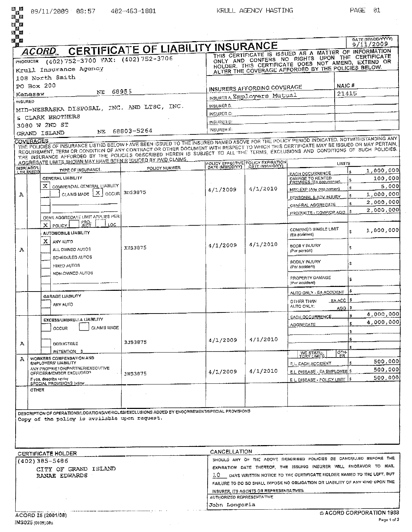e<br>Na

ដ្ឋើធ

| $\mathbf{a}$<br>B | ACORD.                                                                                                                                                                                                                                                                                                                                                                                                                | <b>CERTIFICATE OF LIABILITY INSURANCE</b> |                                  |                                         |                                                                                                                                                                                                                     |                 | 9/11/2009        |
|-------------------|-----------------------------------------------------------------------------------------------------------------------------------------------------------------------------------------------------------------------------------------------------------------------------------------------------------------------------------------------------------------------------------------------------------------------|-------------------------------------------|----------------------------------|-----------------------------------------|---------------------------------------------------------------------------------------------------------------------------------------------------------------------------------------------------------------------|-----------------|------------------|
| <b>PRODUCER</b>   | (402) 752-3700 FAX: (402) 752-3706<br>Krull Insurance Agency                                                                                                                                                                                                                                                                                                                                                          |                                           |                                  |                                         | THIS CERTIFICATE IS ISSUED AS A MATTER OF INFORMATION<br>ONLY AND CONFERS NO RIGHTS UPON THE CERTIFICATE<br>HOLDER THIS CERTIFICATE DOES NOT AMEND, EXTEND OR<br>ALTER THE COVERAGE AFFORDED BY THE POLICIES BELOW. |                 |                  |
|                   | 108 North Smith                                                                                                                                                                                                                                                                                                                                                                                                       |                                           |                                  |                                         |                                                                                                                                                                                                                     |                 |                  |
|                   | PO Box 200                                                                                                                                                                                                                                                                                                                                                                                                            |                                           |                                  | INSURERS AFFORDING COVERAGE             |                                                                                                                                                                                                                     | NAIC#           |                  |
| Kenesaw           | NE.                                                                                                                                                                                                                                                                                                                                                                                                                   | 68955                                     |                                  | INSURER A Employers Mutual              |                                                                                                                                                                                                                     | 21415           |                  |
| <b>INGURED</b>    | MID-NEBRASKA DISPOSAL, INC. AND LTSC, INC.                                                                                                                                                                                                                                                                                                                                                                            |                                           | INSURER D.                       |                                         |                                                                                                                                                                                                                     |                 |                  |
|                   |                                                                                                                                                                                                                                                                                                                                                                                                                       |                                           | INSURFR C:                       |                                         |                                                                                                                                                                                                                     |                 |                  |
|                   | <b>&amp; CLARK BROTHERS</b><br>3080 W 2ND ST                                                                                                                                                                                                                                                                                                                                                                          |                                           | INGURER D:                       |                                         |                                                                                                                                                                                                                     |                 |                  |
|                   | NE.<br>GRAND ISLAND                                                                                                                                                                                                                                                                                                                                                                                                   | 68803-5264                                | <b>INSURER E:</b>                |                                         |                                                                                                                                                                                                                     |                 |                  |
| <b>COVERAGES</b>  | THE POLICIES OF INSURANCE LISTIAD BELOW FAVE BEEN ISSUED TO THE INSURED NAMED ABOVE FOR THE POLICY PERIOD INDICATED. NOTWITHSTANDING ANY<br>REQUIREMENT, TERM OR CONDITION OF ANY CONTRACT OR OTHER DOCUMENT WITH RESPECT TO WHICH THIS CERTIFICATE MAY BE ISSUED OR MAY PERTAIN.<br>THE INSURANCE AFFORDED BY THE POLICIES DESCRIBED HEREIN IS SUBJECT TO ALL THE TERMS, EXCLUSIONS AND CONDITIONS OF SUCH POLICIES. |                                           |                                  |                                         |                                                                                                                                                                                                                     |                 |                  |
| INSRADD'L         | <u>AGGREGATE LIMITS SHOWN MAY HAVE BEEN REDUCED BY PAID CLAIMS.</u>                                                                                                                                                                                                                                                                                                                                                   | POLICY NUMBER                             |                                  | POLICY EFFECTIVE POLICY EXPIRATION      |                                                                                                                                                                                                                     | <b>LIMITS</b>   |                  |
| <b>LIR INSED</b>  | TYPE OF INSURANCE.                                                                                                                                                                                                                                                                                                                                                                                                    |                                           |                                  |                                         | <b>EACH OCCURRENCE</b>                                                                                                                                                                                              | Ś.              | 1,000,000        |
|                   | GENERAL LIABILITY<br>х<br>COMMERCIAL GENERAL LIABILITY                                                                                                                                                                                                                                                                                                                                                                |                                           |                                  |                                         | DAMAGE TO RENTED<br>PREMISES (EA OCCURREDIC)                                                                                                                                                                        | 乐               | 100,000<br>5,000 |
| А                 | CLAIMS MADE   X   OCCUR                                                                                                                                                                                                                                                                                                                                                                                               | 3DS3875                                   | 4/1/2009                         | 4/1/2010                                | MED EXP (Any orie person)                                                                                                                                                                                           | Ŧ               | 1,000,000        |
|                   |                                                                                                                                                                                                                                                                                                                                                                                                                       |                                           |                                  |                                         | PERSONAL & ADV INJURY                                                                                                                                                                                               |                 | 2,000,000        |
|                   |                                                                                                                                                                                                                                                                                                                                                                                                                       |                                           |                                  |                                         | <b>GENFRAL AGGREGATE</b>                                                                                                                                                                                            |                 | 2,000,000        |
|                   | OEN'I, AGGREGATE LIMIT APTILIES PER:                                                                                                                                                                                                                                                                                                                                                                                  |                                           |                                  |                                         | PRODUCTS - COMP/OP AGG                                                                                                                                                                                              |                 |                  |
|                   | <b>R</b> ef<br>LOC                                                                                                                                                                                                                                                                                                                                                                                                    |                                           |                                  |                                         | COMBINED SINGLE LIMIT                                                                                                                                                                                               |                 |                  |
|                   | AUTOMOBILE LIABILITY                                                                                                                                                                                                                                                                                                                                                                                                  |                                           |                                  |                                         | (Ea accident)                                                                                                                                                                                                       |                 | 1,000,000        |
|                   | х<br>ANY AUTO                                                                                                                                                                                                                                                                                                                                                                                                         |                                           | 4/1/2009                         | 4/1/2010                                | <b>BOOILY INJURY</b>                                                                                                                                                                                                |                 |                  |
| A                 | ALL OWNED AUTOS                                                                                                                                                                                                                                                                                                                                                                                                       | 3.753875                                  |                                  |                                         | (Per person)                                                                                                                                                                                                        |                 |                  |
|                   | <b>SCHEDULED AUTOS</b>                                                                                                                                                                                                                                                                                                                                                                                                |                                           |                                  |                                         | <b>BODILY IN JURY</b>                                                                                                                                                                                               |                 |                  |
|                   | <b>HIRED AUTOS</b>                                                                                                                                                                                                                                                                                                                                                                                                    |                                           |                                  |                                         | (Por accident)                                                                                                                                                                                                      | IS.             |                  |
|                   | NON-OWNED AUTOS                                                                                                                                                                                                                                                                                                                                                                                                       |                                           |                                  |                                         | PROPERTY DAMAGE<br>(Par accident)                                                                                                                                                                                   | ۱.              |                  |
|                   | <b>GARAGE LIABILITY</b>                                                                                                                                                                                                                                                                                                                                                                                               |                                           |                                  |                                         | AUTO ONLY - EA ACCIDENT                                                                                                                                                                                             |                 |                  |
|                   | ANY AUTO                                                                                                                                                                                                                                                                                                                                                                                                              |                                           |                                  |                                         | OTHER THAN<br>AUTO ONLY:                                                                                                                                                                                            | <b>EAACC 14</b> |                  |
|                   |                                                                                                                                                                                                                                                                                                                                                                                                                       |                                           |                                  |                                         |                                                                                                                                                                                                                     | <u>AGG 1</u>    | 4,000,000        |
|                   | EXCESS/UMBRELLA LIABILITY                                                                                                                                                                                                                                                                                                                                                                                             |                                           |                                  |                                         | <b>EACH OCCURRENCE.</b>                                                                                                                                                                                             | l 51<br>İ\$     | 4,000,000        |
|                   | CLAIMS MADE<br>OCCUR                                                                                                                                                                                                                                                                                                                                                                                                  |                                           |                                  |                                         | <b>AGGRE GATE</b>                                                                                                                                                                                                   |                 |                  |
|                   |                                                                                                                                                                                                                                                                                                                                                                                                                       |                                           | 4/1/2009                         | 1/1/2010                                |                                                                                                                                                                                                                     |                 |                  |
| А                 | <b>DEDITO TIBLE</b>                                                                                                                                                                                                                                                                                                                                                                                                   | 3J53875                                   |                                  |                                         |                                                                                                                                                                                                                     |                 |                  |
|                   | RETENTION \$                                                                                                                                                                                                                                                                                                                                                                                                          |                                           |                                  |                                         | WG STATU-<br>TORY LIMII S                                                                                                                                                                                           | ੰਨੂਮ<br>ER      |                  |
| А                 | WORKERS COMPENSATION AND<br><b>EMPLOYERS' LIABILITY</b>                                                                                                                                                                                                                                                                                                                                                               |                                           |                                  |                                         | <b>E.L. EACH ACCIDENT</b>                                                                                                                                                                                           |                 | 500,000          |
|                   | ANY PROPRIÉTOR/PARTNER/EXECUTIVE<br>OFFICER/MEMBER EXCLU/DED?                                                                                                                                                                                                                                                                                                                                                         | 3853875                                   | 4/1/2009                         | 4/1/2010                                | E.L. DISEASE - EA EMPLOYEE \$                                                                                                                                                                                       |                 | 500,000}         |
|                   | if yes, describe under<br>SPECIAL FROVISIONS below                                                                                                                                                                                                                                                                                                                                                                    |                                           |                                  |                                         | <b>E.L. DISEASE - POLICY LIMIT 15</b>                                                                                                                                                                               |                 | 500,000          |
|                   | OTHER                                                                                                                                                                                                                                                                                                                                                                                                                 |                                           |                                  |                                         |                                                                                                                                                                                                                     |                 |                  |
|                   |                                                                                                                                                                                                                                                                                                                                                                                                                       |                                           |                                  |                                         |                                                                                                                                                                                                                     |                 |                  |
|                   |                                                                                                                                                                                                                                                                                                                                                                                                                       |                                           |                                  |                                         |                                                                                                                                                                                                                     |                 |                  |
|                   | DESCRIPTION OF OPERATIONS/LOCATIONS/VEHICLES/EXCLUSIONS ADDED BY ENDORSEMENT/SPECIAL PROVISIONS                                                                                                                                                                                                                                                                                                                       |                                           |                                  |                                         |                                                                                                                                                                                                                     |                 |                  |
|                   | Copy of the policy is available upon request.                                                                                                                                                                                                                                                                                                                                                                         |                                           |                                  |                                         |                                                                                                                                                                                                                     |                 |                  |
|                   |                                                                                                                                                                                                                                                                                                                                                                                                                       |                                           |                                  |                                         |                                                                                                                                                                                                                     |                 |                  |
|                   |                                                                                                                                                                                                                                                                                                                                                                                                                       |                                           |                                  |                                         |                                                                                                                                                                                                                     |                 |                  |
|                   |                                                                                                                                                                                                                                                                                                                                                                                                                       |                                           | CANCELLATION                     |                                         |                                                                                                                                                                                                                     |                 |                  |
|                   | <b>CERTIFICATE HOLDER</b>                                                                                                                                                                                                                                                                                                                                                                                             |                                           |                                  |                                         | SHOULD ANY OF THE ABOVE DRECRIBED POLICIES BE CANCELLED BEFORE THE                                                                                                                                                  |                 |                  |
|                   | (402) 385-5486<br>CITY OF GRAND ISLAND                                                                                                                                                                                                                                                                                                                                                                                |                                           |                                  |                                         | EXPIRATION DATE THERFOF, THE ISSUING INSURER WILL ENDEAVOR TO MAIL                                                                                                                                                  |                 |                  |
|                   | RANAE EDWARDS                                                                                                                                                                                                                                                                                                                                                                                                         |                                           |                                  |                                         | J.O DAYS WRITTEN NOTICE TO THE CERTIFICATE HOLDER NAMED TO THE LEFT, BUT                                                                                                                                            |                 |                  |
|                   |                                                                                                                                                                                                                                                                                                                                                                                                                       |                                           |                                  |                                         | FAILURE TO DO SO SHALL IMPOSE NO OBLIGATION OR LIABILITY OF ANY KIND UPON THE                                                                                                                                       |                 |                  |
|                   |                                                                                                                                                                                                                                                                                                                                                                                                                       |                                           |                                  | INSURER, ITS AGENTS OR REPRESENTATIVES. |                                                                                                                                                                                                                     |                 |                  |
|                   |                                                                                                                                                                                                                                                                                                                                                                                                                       |                                           | <b>AUTHORIZED REPRESENTATIVE</b> |                                         |                                                                                                                                                                                                                     |                 |                  |
|                   |                                                                                                                                                                                                                                                                                                                                                                                                                       |                                           | John Longoria                    |                                         |                                                                                                                                                                                                                     |                 |                  |

 $\mathcal{A}^{\mathcal{A}}$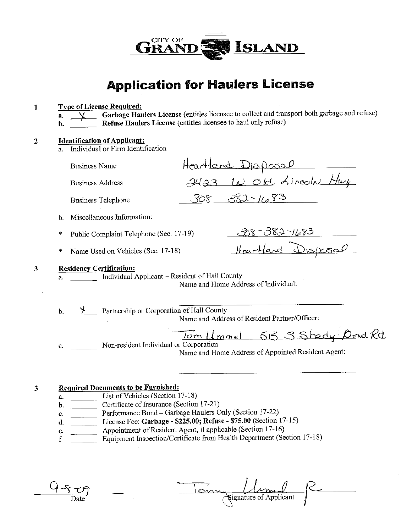

| a <sub>x</sub> | Individual or Firm Identification                                                                   |                                                                                     |
|----------------|-----------------------------------------------------------------------------------------------------|-------------------------------------------------------------------------------------|
|                | <b>Business Name</b>                                                                                | Heartland Disposal<br>2423 W Old Kinecin Huy                                        |
|                | <b>Business Address</b>                                                                             |                                                                                     |
|                | <b>Business Telephone</b>                                                                           | $308$ $382 - 1683$                                                                  |
| b.             | Miscellaneous Information:                                                                          |                                                                                     |
| *              | Public Complaint Telephone (Sec. 17-19)                                                             |                                                                                     |
| *              | Name Used on Vehicles (Sec. 17-18)                                                                  | 88-382-1683<br>Hrartland Dispessal                                                  |
| a.             | <b>Residency Certification:</b><br>Individual Applicant – Resident of Hall County                   | Name and Home Address of Individual:                                                |
| $\mathbf{b}$ . | Fartnership or Corporation of Hall County                                                           | Name and Address of Resident Partner/Officer:                                       |
|                | Non-resident Individual or Corporation<br>c.                                                        | Tom Umnel 515 S Stady Dend Rd<br>Name and Home Address of Appointed Resident Agent: |
| a.             | <b>Required Documents to be Furnished:</b><br>List of Vehicles (Section 17-18)                      |                                                                                     |
| b.<br>c.       | Certificate of Insurance (Section 17-21)<br>Performance Bond - Garbage Haulers Only (Section 17-22) |                                                                                     |
| d.             | License Fee: Garbage - \$225.00; Refuse - \$75.00 (Section 17-15)                                   |                                                                                     |
| е.             | Appointment of Resident Agent, if applicable (Section 17-16)                                        | Equipment Inspection/Certificate from Health Department (Section 17-18)             |
| f.             |                                                                                                     |                                                                                     |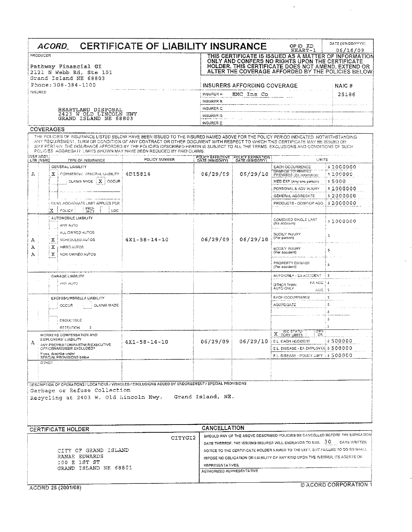|                               | ACORD                                                               | <b>CERTIFICATE OF LIABILITY INSURANCE</b>                                                                                                                                                                                                                                                                                                                                                                                                                                           |                   |                                                                           | OP ID KD<br><b>HEART-1</b>                                                                                                                                       | <b>DATE (MM/DD/YYYY)</b><br>06/16/09 |
|-------------------------------|---------------------------------------------------------------------|-------------------------------------------------------------------------------------------------------------------------------------------------------------------------------------------------------------------------------------------------------------------------------------------------------------------------------------------------------------------------------------------------------------------------------------------------------------------------------------|-------------------|---------------------------------------------------------------------------|------------------------------------------------------------------------------------------------------------------------------------------------------------------|--------------------------------------|
| <b>PRODUCER</b>               |                                                                     |                                                                                                                                                                                                                                                                                                                                                                                                                                                                                     |                   |                                                                           | THIS CERTIFICATE IS ISSUED AS A MATTER OF INFORMATION<br>ONLY AND CONFERS NO RIGHTS UPON THE CERTIFICATE                                                         |                                      |
|                               | Pathway Financial GI<br>2121 N Webb Rd, Ste 101                     |                                                                                                                                                                                                                                                                                                                                                                                                                                                                                     |                   |                                                                           | HOLDER, THIS CERTIFICATE DOES NOT AMEND, EXTEND OR<br>ALTER THE COVERAGE AFFORDED BY THE POLICIES BELOW.                                                         |                                      |
|                               | Grand Island NE 68803<br>Phone: 308-384-1100                        |                                                                                                                                                                                                                                                                                                                                                                                                                                                                                     |                   | INSURERS AFFORDING COVERAGE                                               |                                                                                                                                                                  | NAIC #                               |
| INSURED                       |                                                                     |                                                                                                                                                                                                                                                                                                                                                                                                                                                                                     | <b>INSURER A:</b> | EMC Ins Co                                                                |                                                                                                                                                                  |                                      |
|                               |                                                                     |                                                                                                                                                                                                                                                                                                                                                                                                                                                                                     | INSURER B.        |                                                                           |                                                                                                                                                                  | 25186                                |
|                               | HEARTLAND DISPOSAL                                                  |                                                                                                                                                                                                                                                                                                                                                                                                                                                                                     | INSURER C.        |                                                                           |                                                                                                                                                                  |                                      |
|                               | 2423 W OLD LINCOLN HWY<br>GRAND ISLAND NE 68803                     |                                                                                                                                                                                                                                                                                                                                                                                                                                                                                     | <b>INSURER D:</b> |                                                                           |                                                                                                                                                                  |                                      |
|                               |                                                                     |                                                                                                                                                                                                                                                                                                                                                                                                                                                                                     | <b>INGURER E:</b> |                                                                           |                                                                                                                                                                  |                                      |
| <b>COVERAGES</b>              |                                                                     |                                                                                                                                                                                                                                                                                                                                                                                                                                                                                     |                   |                                                                           |                                                                                                                                                                  |                                      |
|                               |                                                                     | THE POLICIES OF INSURANCE LISTED BELOW HAVE BEEN ISSUED TO THE INSURED NAMED ABOVE FOR THE POLICY PERIOD INDICATED, NOTWITHSTANDING<br>ANY REQUIREMENT, TERM OR CONDITION OF ANY CONTRACT OR OTHER DOCUMENT WITH RESPECT TO WHICH THIS CERTIFICATE MAY BE ISSUED OR<br>MAY PERTAIN THE INSURANCE AFFORDED BY THE POLICIES DESCRIBED HEREIN IS SUBJECT TO ALL THE TERMS, EXCLUSIONS AND CONDITIONS OF SUCH<br>POLICIES, AGGREGATE LIMITS SHOWN MAY HAVE BEEN REDUCED BY PAID CLAIMS. |                   |                                                                           |                                                                                                                                                                  |                                      |
| <b>INSRADDLE</b><br>LTR INSRC | TYPE OF INSURANCE                                                   | POLICY NUMBER                                                                                                                                                                                                                                                                                                                                                                                                                                                                       |                   | POLICY EFFECTIVE POLICY EXPIRATION  <br>DATE (MM/DD/YY)   DATE (MM/DD/YY) | <b>UMITS</b>                                                                                                                                                     |                                      |
|                               | GENERAL LIABILITY                                                   |                                                                                                                                                                                                                                                                                                                                                                                                                                                                                     |                   |                                                                           | EACH OCCURRENCE                                                                                                                                                  | \$10000.00                           |
| Α                             | x<br>COMMERCIAL GENERAL LIABILITY                                   | 4D15814                                                                                                                                                                                                                                                                                                                                                                                                                                                                             | 06/29/09          | 05/29/10                                                                  | <b>DAMAGE TO RENTED</b><br>PREMISES (Ea obcurence)                                                                                                               | \$100000                             |
|                               | CLAIMS MADE   X   OCCUR                                             |                                                                                                                                                                                                                                                                                                                                                                                                                                                                                     |                   |                                                                           | MED EXP (Any one person)                                                                                                                                         | s 5000                               |
|                               |                                                                     |                                                                                                                                                                                                                                                                                                                                                                                                                                                                                     |                   |                                                                           | PERSONAL & ADV INJURY                                                                                                                                            | \$1000000                            |
|                               |                                                                     |                                                                                                                                                                                                                                                                                                                                                                                                                                                                                     |                   |                                                                           | GENERAL AGGREGATE                                                                                                                                                | \$2000000                            |
|                               | GEN'L AGGREGATE LIMIT APPLIES PER:<br>PRO-<br>POLICY<br>LOC<br>JECT |                                                                                                                                                                                                                                                                                                                                                                                                                                                                                     |                   |                                                                           | PRODUCTS - COMPIOP AGG.                                                                                                                                          | ; s 2000000                          |
|                               | AUTOMOBILE LIABILITY<br>ANY AUTO                                    |                                                                                                                                                                                                                                                                                                                                                                                                                                                                                     |                   |                                                                           | COMBINED SINGLE LIMIT<br>(Ea accident)                                                                                                                           | \$1000000                            |
| А                             | ALL OWNED AUTOS<br>Χ<br><b>SCHEDULED AUTOS</b>                      | $4X1 - 58 - 14 - 10$                                                                                                                                                                                                                                                                                                                                                                                                                                                                | 06/29/09          | 06/29/10                                                                  | BODILY INJURY<br>(Par parson)                                                                                                                                    | £.                                   |
| А<br>Α                        | Х<br><b>HIRED AUTOS</b><br>х<br>NON-OWNED AUTOS                     |                                                                                                                                                                                                                                                                                                                                                                                                                                                                                     |                   |                                                                           | <b>BODILY INJURY</b><br>(Per accident)                                                                                                                           | s                                    |
|                               |                                                                     |                                                                                                                                                                                                                                                                                                                                                                                                                                                                                     |                   |                                                                           | PROPERTY DAMAGE<br>(Per accident)                                                                                                                                | $\mathfrak{F}$                       |
|                               | GARAGE LIABILITY                                                    |                                                                                                                                                                                                                                                                                                                                                                                                                                                                                     |                   |                                                                           | AUTO ONLY - EA ACCIDENT                                                                                                                                          | - 5                                  |
|                               | ANY AUTO                                                            |                                                                                                                                                                                                                                                                                                                                                                                                                                                                                     |                   |                                                                           | FA ACC ! S<br><b>OTHER THAN</b><br>AUTO ONLY<br>$AGG$ $\downarrow$ $S$                                                                                           |                                      |
|                               | EXCESS/UMBRELLA LIABILITY                                           |                                                                                                                                                                                                                                                                                                                                                                                                                                                                                     |                   |                                                                           | EACH OCCURRENCE                                                                                                                                                  | $\mathfrak T$                        |
|                               | <b>CLAIMS MADE</b><br>OCCUR                                         |                                                                                                                                                                                                                                                                                                                                                                                                                                                                                     |                   |                                                                           | AGGREGATE                                                                                                                                                        | Š                                    |
|                               |                                                                     |                                                                                                                                                                                                                                                                                                                                                                                                                                                                                     |                   |                                                                           |                                                                                                                                                                  | -3                                   |
|                               | <b>DEDUCTIBLE</b>                                                   |                                                                                                                                                                                                                                                                                                                                                                                                                                                                                     |                   |                                                                           |                                                                                                                                                                  | $\sim$                               |
|                               | RETENTION                                                           |                                                                                                                                                                                                                                                                                                                                                                                                                                                                                     |                   |                                                                           | ਾਸਦ<br>WG STATU                                                                                                                                                  | -S                                   |
|                               | WORKERS COMPENSATION AND<br><b>EMPLOYERS' LIABILITY</b>             | $4X1 - 58 - 14 - 10$                                                                                                                                                                                                                                                                                                                                                                                                                                                                | 06/29/09          |                                                                           | <b>X</b> TORY LIMITS<br>¦.€R<br>$06/29/10$   E.L. EACH ACCIDENT                                                                                                  | $\frac{1}{2}$ \$500000               |
| А                             | ANY PROPRIETOR/PARTNER/EXECUTIVE<br>OFFICER/MEMBER EXCLUDED?        |                                                                                                                                                                                                                                                                                                                                                                                                                                                                                     |                   |                                                                           | E.L. DISEASE - EA EMPLOYEE \$500000                                                                                                                              |                                      |
|                               | If yes, describe under<br>SPECIAL PROVISIONS below                  |                                                                                                                                                                                                                                                                                                                                                                                                                                                                                     |                   |                                                                           | E.L. DISEASE - POLICY LIMIT   \$ 500000                                                                                                                          |                                      |
| OTHER                         |                                                                     |                                                                                                                                                                                                                                                                                                                                                                                                                                                                                     |                   |                                                                           |                                                                                                                                                                  |                                      |
|                               |                                                                     |                                                                                                                                                                                                                                                                                                                                                                                                                                                                                     |                   |                                                                           |                                                                                                                                                                  |                                      |
|                               |                                                                     |                                                                                                                                                                                                                                                                                                                                                                                                                                                                                     |                   |                                                                           |                                                                                                                                                                  |                                      |
|                               | Garbage or Refuse Collection                                        | DESCRIPTION OF OPERATIONS / LOCATIONS / VEHICLES / EXCLUSIONS ADDED BY ENDORSEMENT / SPECIAL PROVISIONS                                                                                                                                                                                                                                                                                                                                                                             |                   |                                                                           |                                                                                                                                                                  |                                      |
|                               |                                                                     | Recycling at 2403 W. Old Lincoln Hwy, Grand Island, NE.                                                                                                                                                                                                                                                                                                                                                                                                                             |                   |                                                                           |                                                                                                                                                                  |                                      |
|                               |                                                                     |                                                                                                                                                                                                                                                                                                                                                                                                                                                                                     |                   |                                                                           |                                                                                                                                                                  |                                      |
|                               |                                                                     |                                                                                                                                                                                                                                                                                                                                                                                                                                                                                     |                   |                                                                           |                                                                                                                                                                  |                                      |
|                               | <b>CERTIFICATE HOLDER</b>                                           |                                                                                                                                                                                                                                                                                                                                                                                                                                                                                     | CANCELLATION      |                                                                           |                                                                                                                                                                  |                                      |
|                               |                                                                     | CITYGI2                                                                                                                                                                                                                                                                                                                                                                                                                                                                             |                   |                                                                           | SHOULD ANY OF THE ABOVE DESCRIBED POLICIES BE CANCELLED BEFORE THE EXPIRATION                                                                                    |                                      |
|                               |                                                                     |                                                                                                                                                                                                                                                                                                                                                                                                                                                                                     |                   |                                                                           | DATE THEREOF, THE ISSUING INSURER WILL ENDEAVOR TO MAIL 30 [11] DAYS WRITTEN                                                                                     |                                      |
|                               | CITY OF GRAND ISLAND<br>RANAE EDWARDS                               |                                                                                                                                                                                                                                                                                                                                                                                                                                                                                     |                   |                                                                           | NOTICE TO THE CERTIFICATE HOLDER NAMED TO THE LEFT, BUT FAILURE TO DO SO SHALL<br>IMPOSE NO OBLIGATION OR LIABILITY OF ANY KIND UPON THE INSURER. ITS AGEN IS OR |                                      |
|                               | 100 E 1ST ST<br>GRAND ISLAND NE 68801                               |                                                                                                                                                                                                                                                                                                                                                                                                                                                                                     | REPRESENTATIVES.  |                                                                           |                                                                                                                                                                  |                                      |
|                               |                                                                     |                                                                                                                                                                                                                                                                                                                                                                                                                                                                                     |                   | AUTHORIZED REPRESENTATIVE                                                 |                                                                                                                                                                  |                                      |

© ACORD CORPORATION 1

 $\hat{\mathbf{v}}$ 

 $\mathcal{A}^{\mathcal{A}}$ 

l,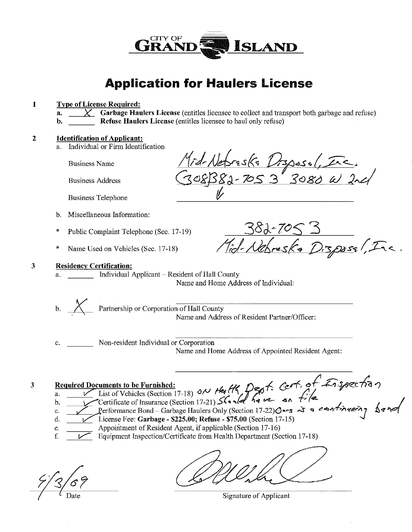

#### **Type of License Required:**  $\mathbf{1}$

 $\chi$  Garbage Haulers License (entitles licensee to collect and transport both garbage and refuse)

Refuse Haulers License (entitles licensee to haul only refuse)

#### **Identification of Applicant:**  $\overline{2}$

Individual or Firm Identification  $\mathbf{a}$ .

**Business Name** 

**Business Address** 

**Business Telephone** 

Miscellaneous Information:  $h_{\cdot}$ 

Public Complaint Telephone (Sec. 17-19)

Name Used on Vehicles (Sec. 17-18)

#### **Residency Certification:** 3

Individual Applicant – Resident of Hall County

Name and Home Address of Individual:

b. X Partnership or Corporation of Hall County Name and Address of Resident Partner/Officer:

c. Non-resident Individual or Corporation Name and Home Address of Appointed Resident Agent:

Mid-Nebreske Dispose, Inc.<br>3083882-7053 3080 W 2nd

382-7053<br>Mid-Nebraska Disposal, Inc.

#### 3 **Required Documents to be Furnished:**

- -
- d Documents to be Furnished:<br>
List of Vehicles (Section 17-18) on the HR Dept. Cert, of Inspection 7<br>
Certificate of Insurance (Section 17-21) Skould have so file<br>
Performance Bond Garbage Haulers Only (Section 17-22) Ou b. c.
	- License Fee: Garbage  $\frac{$25.00}{875.00}$ ; Refuse \$75.00 (Section 17-15)
	- Appointment of Resident Agent, if applicable (Section 17-16)
- e. Equipment Inspection/Certificate from Health Department (Section 17-18)  $f$

d.

Signature of Applicant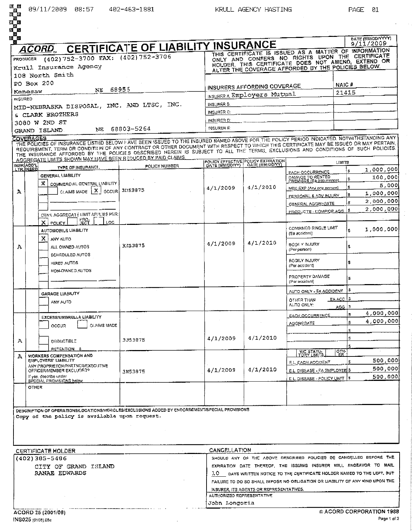$\sim 10$ 

| 83 B<br>in de la provincia de la provincia de la provincia de la provincia de la provincia de la provincia de la provi<br>De la provincia de la provincia de la provincia de la provincia de la provincia de la provincia de la provinci |                  | 09/11/2009<br>08:57                                                    | 402-463-1881                                                                                                                                                                                                                                                                                                                                                                                                          |                                            | KRULL AGENCY HASTING                    |                                                                                                                                                                                                                             | PAGE.                       | ด1                             |
|------------------------------------------------------------------------------------------------------------------------------------------------------------------------------------------------------------------------------------------|------------------|------------------------------------------------------------------------|-----------------------------------------------------------------------------------------------------------------------------------------------------------------------------------------------------------------------------------------------------------------------------------------------------------------------------------------------------------------------------------------------------------------------|--------------------------------------------|-----------------------------------------|-----------------------------------------------------------------------------------------------------------------------------------------------------------------------------------------------------------------------------|-----------------------------|--------------------------------|
| a a<br>长                                                                                                                                                                                                                                 |                  |                                                                        |                                                                                                                                                                                                                                                                                                                                                                                                                       |                                            |                                         |                                                                                                                                                                                                                             |                             | DATE (MM/DD/YYYY)<br>9/11/2009 |
|                                                                                                                                                                                                                                          | <b>PRODUCER</b>  | ACORD.<br>(402) 752-3700 FAX: (402) 752-3706<br>Krull Insurance Agency | <b>CERTIFICATE OF LIABILITY INSURANCE</b>                                                                                                                                                                                                                                                                                                                                                                             |                                            |                                         | THIS CERTIFICATE IS ISSUED AS A MATTER OF INFORMATION<br>ONLY AND CONFERS NO RIGHTS UPON THE CERTIFICATE<br>HOLDER. THIS CERTIFICATE DOES NOT AMEND, EXTEND OR<br>ALTER THE COVERAGE AFFORDED BY THE POLICIES BELOW.        |                             |                                |
|                                                                                                                                                                                                                                          |                  | 108 North Smith                                                        |                                                                                                                                                                                                                                                                                                                                                                                                                       |                                            |                                         |                                                                                                                                                                                                                             |                             |                                |
|                                                                                                                                                                                                                                          |                  | $PO$ Box 200                                                           |                                                                                                                                                                                                                                                                                                                                                                                                                       |                                            | INSURERS AFFORDING COVERAGE             |                                                                                                                                                                                                                             | NAIC#                       |                                |
|                                                                                                                                                                                                                                          | Kenesaw          | NE                                                                     | 68955                                                                                                                                                                                                                                                                                                                                                                                                                 |                                            | INSURER A Employers Mutual              |                                                                                                                                                                                                                             | 21415                       |                                |
| <b>INSURED</b>                                                                                                                                                                                                                           |                  | MID-NEBRASKA DISPOSAL, INC. AND LTSC, INC.                             |                                                                                                                                                                                                                                                                                                                                                                                                                       | INSUFIER B.                                |                                         |                                                                                                                                                                                                                             |                             |                                |
|                                                                                                                                                                                                                                          |                  | <b>6 CLARK BROTHERS</b>                                                |                                                                                                                                                                                                                                                                                                                                                                                                                       | INSURER C:                                 |                                         |                                                                                                                                                                                                                             |                             |                                |
|                                                                                                                                                                                                                                          |                  | 3080 W 2ND ST                                                          |                                                                                                                                                                                                                                                                                                                                                                                                                       | INGURER D'                                 |                                         |                                                                                                                                                                                                                             |                             |                                |
|                                                                                                                                                                                                                                          |                  | NE.<br>GRAND ISLAND                                                    | 68803-5264                                                                                                                                                                                                                                                                                                                                                                                                            | insurer e:                                 |                                         |                                                                                                                                                                                                                             |                             |                                |
|                                                                                                                                                                                                                                          | <b>COVERAGES</b> | AGGREGATE LIMITS SHOWN MAY HAVE BEEN REDUCED BY PAID CLAIMS.           | THE POLICIES OF INSURANCE LISTIED BELOW FAVE BEEN ISSUED TO THE INSURED NAMED ABOVE FOR THE POLICY PERIOD INDICATED. NOTWITHSTANDING ANY<br>REQUIREMENT, TERM OR CONDITION OF ANY CONTRACT OR OTHER DOCUMENT WITH RESPECT TO WHICH THIS CERTIFICATE MAY BE ISSUED OR MAY PERTAIN.<br>THE INSURANCE AFFORDED BY THE POLICIES DESCRIBED HEREIN IS SUBJECT TO ALL THE TERMS, EXCLUSIONS AND CONDITIONS OF SUCH POLICIES. |                                            | POLICY EFFECTIVE POLICY EXPIRATION      |                                                                                                                                                                                                                             | <b>LIMITS</b>               |                                |
|                                                                                                                                                                                                                                          | INSRADD'L        | TYPE OF INSURANCI.                                                     | <b>POLICY NUMBER</b>                                                                                                                                                                                                                                                                                                                                                                                                  |                                            |                                         |                                                                                                                                                                                                                             | '\$                         | 1.000,000                      |
|                                                                                                                                                                                                                                          |                  | <b>GENERAL LIABILITY</b>                                               |                                                                                                                                                                                                                                                                                                                                                                                                                       |                                            |                                         | EACH OCCURRENCE<br>DAMAGE TO RENTED                                                                                                                                                                                         | 15                          | 100,000                        |
|                                                                                                                                                                                                                                          |                  | х<br>COMMERCIAL GENERAL LIABILITY<br>CLAIMS MADE X   OCCUR 3D53875     |                                                                                                                                                                                                                                                                                                                                                                                                                       | 4/1/2009                                   | 4/1/2010                                | MED EXP (Any one person)                                                                                                                                                                                                    |                             | 5,000                          |
| A                                                                                                                                                                                                                                        |                  |                                                                        |                                                                                                                                                                                                                                                                                                                                                                                                                       |                                            |                                         | PERSONAL & ADV INJURY                                                                                                                                                                                                       |                             | 1.000,000                      |
|                                                                                                                                                                                                                                          |                  |                                                                        |                                                                                                                                                                                                                                                                                                                                                                                                                       |                                            |                                         | <b>GENFRAL AGGREGATE</b>                                                                                                                                                                                                    |                             | 2,000,000<br>2,000,000         |
|                                                                                                                                                                                                                                          |                  | OEN'I, AGGRECATE LIMIT APPLIES PER:                                    |                                                                                                                                                                                                                                                                                                                                                                                                                       |                                            |                                         | PRODUCTS - COMPIOP AGG                                                                                                                                                                                                      |                             |                                |
|                                                                                                                                                                                                                                          |                  | 罪?F<br>LOC<br>x<br>POLICY_<br>AUTOMOBILE LIABILITY                     |                                                                                                                                                                                                                                                                                                                                                                                                                       |                                            |                                         | COMBINED SINGLE LIMIT<br>(Ea accident)                                                                                                                                                                                      |                             | 1,000,000                      |
| А                                                                                                                                                                                                                                        |                  | X<br>ANY AUTO<br>ALL OWNED AUTOS                                       | 3,753875                                                                                                                                                                                                                                                                                                                                                                                                              | 4/1/2009                                   | 4/1/2010                                | BODILY INJURY<br>(Per person)                                                                                                                                                                                               | g.                          |                                |
|                                                                                                                                                                                                                                          |                  | SCHEDULED AUTOS<br>HIRED AUTOS<br>NON-OWNED AUTOS                      |                                                                                                                                                                                                                                                                                                                                                                                                                       |                                            |                                         | BODILY INJURY<br>(Por accident)                                                                                                                                                                                             | s                           |                                |
|                                                                                                                                                                                                                                          |                  |                                                                        |                                                                                                                                                                                                                                                                                                                                                                                                                       |                                            |                                         | PROPERTY DAMAGE<br>(Par accident)                                                                                                                                                                                           | 5.                          |                                |
|                                                                                                                                                                                                                                          |                  | <b>GARAGE LIABILITY</b>                                                |                                                                                                                                                                                                                                                                                                                                                                                                                       |                                            |                                         | <b>NUTO ONLY - EA ACCIDENT</b>                                                                                                                                                                                              |                             |                                |
|                                                                                                                                                                                                                                          |                  | ANY AUTO                                                               |                                                                                                                                                                                                                                                                                                                                                                                                                       |                                            |                                         | OTHER THAN<br>AUTO ONLY:                                                                                                                                                                                                    | EAACC 5<br>$AGG$ $\uparrow$ |                                |
|                                                                                                                                                                                                                                          |                  |                                                                        |                                                                                                                                                                                                                                                                                                                                                                                                                       |                                            |                                         | <b><i>EACH OCCURRENCE.</i></b>                                                                                                                                                                                              |                             | 4,000,000                      |
|                                                                                                                                                                                                                                          |                  | EXCESS/UMBRELLA LIABILITY<br>CLAIMS MADE<br>OCCUR                      |                                                                                                                                                                                                                                                                                                                                                                                                                       |                                            |                                         | <b>AGGREGATE</b>                                                                                                                                                                                                            |                             | 4.000,000                      |
|                                                                                                                                                                                                                                          |                  |                                                                        |                                                                                                                                                                                                                                                                                                                                                                                                                       |                                            |                                         |                                                                                                                                                                                                                             |                             |                                |
| А                                                                                                                                                                                                                                        |                  | DROUGTIBLE<br>RETENTION \$                                             | 3553875                                                                                                                                                                                                                                                                                                                                                                                                               | 4/1/2009                                   | 1/1/2010                                |                                                                                                                                                                                                                             |                             |                                |
| А                                                                                                                                                                                                                                        |                  | WORKERS COMPENSATION AND                                               |                                                                                                                                                                                                                                                                                                                                                                                                                       |                                            |                                         | WE STATU-                                                                                                                                                                                                                   | $\frac{1}{2}$               |                                |
|                                                                                                                                                                                                                                          |                  | <b>EMPLOYERS' LIABILITY</b><br>ANY PROPRIETOR/PARTNER/EXECUTIVE        |                                                                                                                                                                                                                                                                                                                                                                                                                       |                                            |                                         | F.L. EACH ACCIDENT                                                                                                                                                                                                          |                             | 500,000                        |
|                                                                                                                                                                                                                                          |                  | OFFICER/MEMBER EXCLUDED?<br>If yes, describe under                     | 3853875                                                                                                                                                                                                                                                                                                                                                                                                               | 4/1/2009                                   | 4/1/2010                                | E.L. DISEASE - EA EMPLOYEE \$                                                                                                                                                                                               |                             | 500,000)<br>500,000            |
|                                                                                                                                                                                                                                          |                  | SPECIAL PROVISIONS balow                                               |                                                                                                                                                                                                                                                                                                                                                                                                                       |                                            |                                         | E.L. DISEASE - POLICY LIMIT   \$                                                                                                                                                                                            |                             |                                |
|                                                                                                                                                                                                                                          | <b>OTHER</b>     |                                                                        |                                                                                                                                                                                                                                                                                                                                                                                                                       |                                            |                                         |                                                                                                                                                                                                                             |                             |                                |
|                                                                                                                                                                                                                                          |                  | Copy of the policy is available upon request.                          | DESCRIPTION OF OPERATIONS/LOCATIONS/VEHICLES/EXCLUSIONS ADDED BY ENDORSEMENT/SPECIAL PROVISIONS                                                                                                                                                                                                                                                                                                                       |                                            |                                         |                                                                                                                                                                                                                             |                             |                                |
|                                                                                                                                                                                                                                          |                  |                                                                        |                                                                                                                                                                                                                                                                                                                                                                                                                       |                                            |                                         |                                                                                                                                                                                                                             |                             |                                |
|                                                                                                                                                                                                                                          |                  | <b>CERTIFICATE HOLDER</b><br>$(402)$ 385-5486                          |                                                                                                                                                                                                                                                                                                                                                                                                                       | CANCELLATION                               |                                         | SHOULD ANY OF THE ABOVE DESCRIBED POLICIES BE CANCELLED BEFORE THE                                                                                                                                                          |                             |                                |
|                                                                                                                                                                                                                                          |                  | CITY OF GRAND ISLAND<br>RANAE EDWARDS                                  |                                                                                                                                                                                                                                                                                                                                                                                                                       | J.O                                        | INSURER, ITS AGENTS OR REPRESENTATIVES. | EXPIRATION DATE THEREOF, THE ISSUING INSURER WILL ENDEAVOR TO MAIL<br>DAYS WRITTEN NOTICE TO THE CERTIFICATE HOLDER NAMED TO THE LEFT, BUT<br>FAILURE TO DO SO SHALL IMPOSE NO OBLIGATION OR LIABILITY OF ANY KIND UPON THE |                             |                                |
|                                                                                                                                                                                                                                          |                  |                                                                        |                                                                                                                                                                                                                                                                                                                                                                                                                       | AUTHORIZED REPRESENTATIVE<br>John Longoria |                                         |                                                                                                                                                                                                                             |                             |                                |
|                                                                                                                                                                                                                                          |                  | ACORD 25 (2001/08)                                                     |                                                                                                                                                                                                                                                                                                                                                                                                                       |                                            |                                         |                                                                                                                                                                                                                             |                             | @ ACORD CORPORATION 1988       |

 $\mathbb{Z}^2$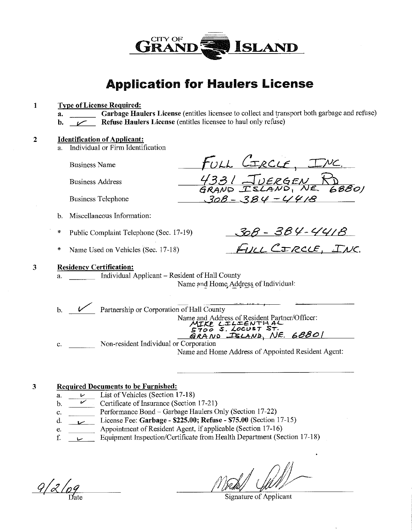

| 1            | <b>Type of License Required:</b><br>Garbage Haulers License (entitles licensee to collect and transport both garbage and refuse)<br>a.<br>Refuse Haulers License (entitles licensee to haul only refuse)<br>b. |
|--------------|----------------------------------------------------------------------------------------------------------------------------------------------------------------------------------------------------------------|
| $\mathbf{2}$ | <b>Identification of Applicant:</b><br>Individual or Firm Identification<br>a <sub>z</sub>                                                                                                                     |
|              | FULL CIRCLE,<br><b>Business Name</b>                                                                                                                                                                           |
|              | .<br>4331 JUERGEN RD<br>GRAND ISLAND, NE. 68801<br><b>Business Address</b>                                                                                                                                     |
|              | $308 - 384 - 4418$<br><b>Business Telephone</b>                                                                                                                                                                |
|              | Miscellaneous Information:<br>b.                                                                                                                                                                               |
|              | Public Complaint Telephone (Sec. 17-19)<br>$\ast$                                                                                                                                                              |
|              | <u> 308 - 384-4418</u><br>FULL C <del>I</del> RCLE, INC.<br>*<br>Name Used on Vehicles (Sec. 17-18)                                                                                                            |
| 3            | <b>Residency Certification:</b><br>Individual Applicant – Resident of Hall County<br>a.<br>Name and Home Address of Individual:                                                                                |
|              | Partnership or Corporation of Hall County<br>$\mathbf{b}$ .<br>Name and Address of Resident Partner/Officer:<br>STOO S. LOCUST ST.                                                                             |
|              | <u>GRAND ISLAND, NE. 68801</u><br>Non-resident Individual or Corporation<br>c.<br>Name and Home Address of Appointed Resident Agent:                                                                           |
|              |                                                                                                                                                                                                                |

#### **Required Documents to be Furnished:**  $\mathbf{3}$

- List of Vehicles (Section 17-18)  $\mathbf{v}$ a.
- $\overline{\nu}$ Certificate of Insurance (Section 17-21)  $\mathbf b$ .
- Performance Bond Garbage Haulers Only (Section 17-22) c.
- License Fee: Garbage \$225.00; Refuse \$75.00 (Section 17-15) d.  $\sim$
- Appointment of Resident Agent, if applicable (Section 17-16) e.
- Equipment Inspection/Certificate from Health Department (Section 17-18) f.

 $9/2/69$ 

Signature of Applicant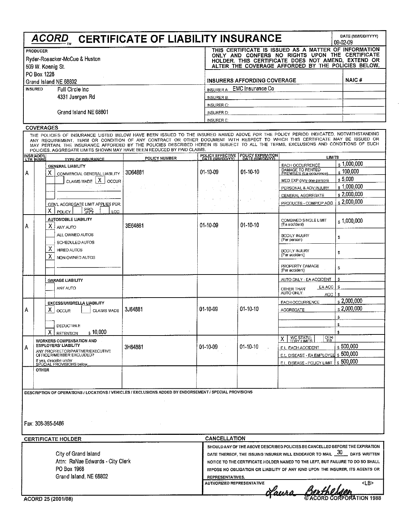| ACORD CERTIFICATE OF LIABILITY INSURANCE |  |
|------------------------------------------|--|
|                                          |  |

DATE (MM/DD/YYYY) 09-02-09

| PRODUCER              |                               | THIS CERTIFICATE IS ISSUED AS A MATTER OF INFORMATION<br>ONLY AND CONFERS NO RIGHTS UPON THE CERTIFICATE |       |  |  |  |
|-----------------------|-------------------------------|----------------------------------------------------------------------------------------------------------|-------|--|--|--|
|                       | Ryder-Rosacker-McCue & Huston | HOLDER. THIS CERTIFICATE DOES NOT AMEND, EXTEND OR                                                       |       |  |  |  |
| 509 W. Koenig St.     |                               | ALTER THE COVERAGE AFFORDED BY THE POLICIES BELOW.                                                       |       |  |  |  |
| <b>PO Box 1228</b>    |                               |                                                                                                          |       |  |  |  |
| Grand Island NE 68802 |                               | INSURERS AFFORDING COVERAGE                                                                              | NAIC# |  |  |  |
| <b>INSURED</b>        | Full Circle Inc.              | INSURER A: EMC Insurance Co                                                                              |       |  |  |  |
|                       | 4331 Juergen Rd               | <b>INSURER B:</b>                                                                                        |       |  |  |  |
|                       |                               | <b>INSURER C:</b>                                                                                        |       |  |  |  |
| Grand Island NE 68801 |                               | INSURER D:                                                                                               |       |  |  |  |
|                       |                               | <b>INSURER E:</b>                                                                                        |       |  |  |  |

#### **COVERAGES**

THE POLICIES OF INSURANCE LISTED BELOW HAVE BEEN ISSUED TO THE INSURED NAMED ABOVE FOR THE POLICY PERIOD INDICATED. NOTWITHSTANDING<br>ANY REQUIREMENT, TERM OR CONDITION OF ANY CONTRACT OR OTHER DOCUMENT WITH RESPECT TO WHICH

|   | INSRADD'L<br>LTR INSRD | <b>TYPE OF INSURANCE</b>                                                                                | POLICY NUMBER             | POLICY EFFECTIVE<br>DATE (MM/DD/YY) | POLICY EXPIRATION<br>DATE (MM/DD/YY) | <b>LIMITS</b>                                 |                         |
|---|------------------------|---------------------------------------------------------------------------------------------------------|---------------------------|-------------------------------------|--------------------------------------|-----------------------------------------------|-------------------------|
|   |                        | <b>GENERAL LIABILITY</b>                                                                                |                           |                                     |                                      | <b>EACH OCCURRENCE</b>                        | $s$ 1,000,000           |
| Α |                        | Χ<br>COMMERCIAL GENERAL LIABILITY                                                                       | 3D64881                   | $01 - 10 - 09$                      | $01 - 10 - 10$                       | DAMAGE TO RENTED<br>PREMISES (Ea occurence).  | $\,$ \$ 100,000         |
|   |                        | CLAIMS MADE X<br><b>OCCUR</b>                                                                           |                           |                                     |                                      | MED EXP (Any one person)                      | s, 5,000                |
|   |                        |                                                                                                         | $\mathcal{I}=\mathcal{I}$ |                                     |                                      | PERSONAL & ADV INJURY                         | $\frac{1}{3}$ 1,000,000 |
|   |                        |                                                                                                         |                           |                                     |                                      | GENERAL AGGREGATE                             | $s$ 2,000,000           |
|   |                        | GEN'L AGGREGATE LIMIT APPLIES PER:                                                                      |                           |                                     |                                      | PRODUCTS - COMP/OP AGG                        | $s$ 2,000,000           |
|   |                        | PRO-<br>Х<br>POLICY<br>LOC                                                                              |                           |                                     |                                      |                                               |                         |
| А |                        | <b>AUTOMOBILE LIABILITY</b><br>Χ<br>ANY AUTO                                                            | 3E64881                   | 01-10-09                            | $01-10-10$                           | <b>COMBINED SINGLE LIMIT</b><br>(Ea accident) | $\,$ s 1,000,000        |
|   |                        | ALL OWNED AUTOS<br>SCHEDULED AUTOS                                                                      |                           |                                     |                                      | <b>BODILY INJURY</b><br>(Per person)          | \$                      |
|   |                        | х<br><b>HIRED AUTOS</b><br>Χ<br>NON-OWNED AUTOS                                                         |                           |                                     |                                      | <b>BODILY INJURY</b><br>(Per accident)        | \$                      |
|   |                        |                                                                                                         |                           |                                     |                                      | PROPERTY DAMAGE<br>(Per accident)             | s                       |
|   |                        | <b>GARAGE LIABILITY</b>                                                                                 |                           |                                     |                                      | AUTO ONLY - EA ACCIDENT                       | s                       |
|   |                        | ANY AUTO                                                                                                |                           |                                     |                                      | EA ACC<br>OTHER THAN                          | ${\bf 3}$               |
|   |                        |                                                                                                         |                           |                                     |                                      | AUTO ONLY:<br>AGG.                            | $\mathbf{s}$            |
|   |                        | <b>EXCESS/UMBRELLA LIABILITY</b>                                                                        |                           |                                     |                                      | EACH OCCURRENCE                               | s 2,000,000             |
| А |                        | X.<br><b>OCCUR</b><br><b>CLAIMS MADE</b>                                                                | 3J64881                   | 01-10-09                            | 01-10-10                             | <b>AGGREGATE</b>                              | s 2,000,000             |
|   |                        |                                                                                                         |                           |                                     |                                      |                                               | \$                      |
|   |                        | <b>DEDUCTIBLE</b>                                                                                       |                           |                                     |                                      |                                               | \$                      |
|   |                        | $\approx 10.000$<br>х<br><b>RETENTION</b>                                                               |                           |                                     |                                      |                                               | £.                      |
|   |                        | <b>WORKERS COMPENSATION AND</b>                                                                         |                           |                                     |                                      | WC STATU-<br>TORY LIMITS<br>떒<br>Χ            |                         |
| Α |                        | <b>EMPLOYERS' LIABILITY</b><br>ANY PROPRIETOR/PARTNER/EXECUTIVE                                         | 3H64881                   | 01-10-09                            | $01 - 10 - 10$                       | E.L. EACH ACCIDENT                            | $s$ 500.000             |
|   |                        | OFFICER/MEMBER EXCLUDED?                                                                                |                           |                                     |                                      | E.L. DISEASE - EA EMPLOYEE                    | s 500,000               |
|   |                        | If yes, describe under<br>SPECIAL PROVISIONS below                                                      |                           |                                     |                                      | E.L. DISEASE - POLICY LIMIT                   | \$500,000               |
|   | <b>OTHER</b>           |                                                                                                         |                           |                                     |                                      |                                               |                         |
|   |                        | DESCRIPTION OF OPERATIONS / LOCATIONS / VEHICLES / EXCLUSIONS ADDED BY ENDORSEMENT / SPECIAL PROVISIONS |                           |                                     |                                      |                                               |                         |
|   |                        |                                                                                                         |                           |                                     |                                      |                                               |                         |
|   |                        |                                                                                                         |                           |                                     |                                      |                                               |                         |
|   |                        | Fax: 308-385-5486                                                                                       |                           |                                     |                                      |                                               |                         |
|   |                        |                                                                                                         |                           |                                     |                                      |                                               |                         |
|   |                        | <b>CERTIFICATE HOLDER</b>                                                                               |                           | CANCELLATION                        |                                      |                                               |                         |

| City of Grand Island<br>Attn: RaNae Edwards - City Clerk<br>PO Box 1968<br>Grand Island, NE 68802 | SHOULD ANY OF THE ABOVE DESCRIBED POLICIES BE CANCELLED BEFORE THE EXPIRATION<br>DATE THEREOF, THE ISSUING INSURER WILL ENDEAVOR TO MAIL $30$ DAYS WRITTEN<br>NOTICE TO THE CERTIFICATE HOLDER NAMED TO THE LEFT, BUT FAILURE TO DO SO SHALL<br>IMPOSE NO OBLIGATION OR LIABILITY OF ANY KIND UPON THE INSURER. ITS AGENTS OR<br>REPRESENTATIVES. |
|---------------------------------------------------------------------------------------------------|---------------------------------------------------------------------------------------------------------------------------------------------------------------------------------------------------------------------------------------------------------------------------------------------------------------------------------------------------|
|                                                                                                   | $\langle$ LB><br><b>AUTHORIZED REPRESENTATIVE</b><br>Bortholaon<br>Loura                                                                                                                                                                                                                                                                          |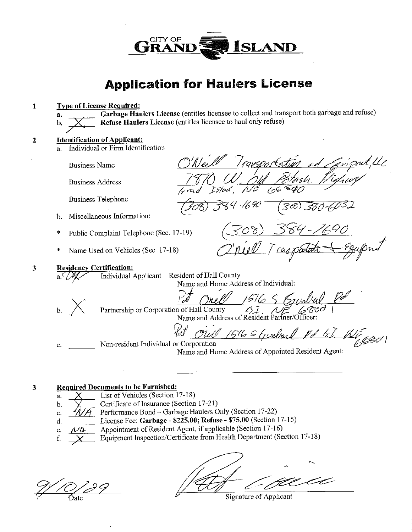

#### $\mathbf{1}$ **Type of License Required:**

Garbage Haulers License (entitles licensee to collect and transport both garbage and refuse) Refuse Haulers License (entitles licensee to haul only refuse)

308) 384-1690

#### **Identification of Applicant:**  $\mathbf{2}$

Individual or Firm Identification a.

**Business Name** 

**Business Address** 

**Business Telephone** 

- Miscellaneous Information: b.
- Public Complaint Telephone (Sec. 17-19) \*
- Name Used on Vehicles (Sec. 17-18)

**Residency Certification:**  $\mathbf{3}$ 

Individual Applicant - Resident of Hall County

Name and Home Address of Individual:

rrel

d Onel 1516 S Gumbul Pf<br>n of Hall County 91 NE 6630 Partnership or Corporation of Hall County

Ouil 1516 Stronbard Pd 127 NEggs

O'Neill Transportation ad Evignit, UC<br>1870 W. Old Potash Highway

(308) 380-60<sup>3</sup>2

Trasportato

 $\mathbf{c}.$ 

 $\mathbf{a}$ 

d.

Non-resident Individual or Corporation Name and Home Address of Appointed Resident Agent:

**Required Documents to be Furnished:** 3

- List of Vehicles (Section 17-18)
- Certificate of Insurance (Section 17-21)
- b. Performance Bond - Garbage Haulers Only (Section 17-22) c.
	- License Fee: Garbage \$225.00; Refuse \$75.00 (Section 17-15)
	- Appointment of Resident Agent, if applicable (Section 17-16) ルな
- e. Equipment Inspection/Certificate from Health Department (Section 17-18) f.

Date

Signature of Applicant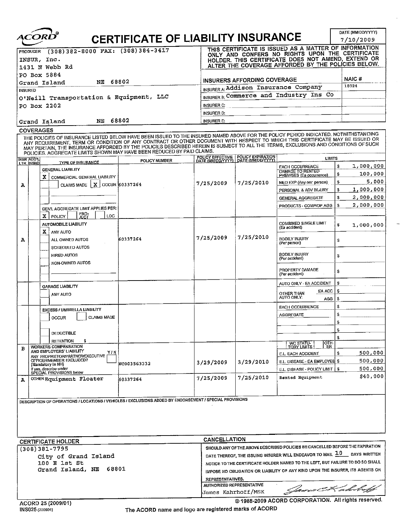|         |                   | $^{\prime}$ 0<br><i><b>ACORD</b></i>                                                                                                                                                                                                                                                                                                                                                                                                                                                 | CERTIFICATE OF LIABILITY INSURANCE |                                  |                                                                           |                                                                                                          | DATE (MM/DD/YYYY)<br>7/10/2009 |
|---------|-------------------|--------------------------------------------------------------------------------------------------------------------------------------------------------------------------------------------------------------------------------------------------------------------------------------------------------------------------------------------------------------------------------------------------------------------------------------------------------------------------------------|------------------------------------|----------------------------------|---------------------------------------------------------------------------|----------------------------------------------------------------------------------------------------------|--------------------------------|
|         |                   | $(308)$ 382-8000 FAX: $(308)$ 384-3417                                                                                                                                                                                                                                                                                                                                                                                                                                               |                                    |                                  |                                                                           | THIS CERTIFICATE IS ISSUED AS A MATTER OF INFORMATION                                                    |                                |
|         | <b>PRODUCER</b>   |                                                                                                                                                                                                                                                                                                                                                                                                                                                                                      |                                    |                                  |                                                                           | ONLY AND CONFERS NO RIGHTS UPON THE CERTIFICATE                                                          |                                |
|         |                   | INSUR, Inc.                                                                                                                                                                                                                                                                                                                                                                                                                                                                          |                                    |                                  |                                                                           | HOLDER, THIS CERTIFICATE DOES NOT AMEND, EXTEND OR<br>ALTER THE COVERAGE AFFORDED BY THE POLICIES BELOW. |                                |
|         |                   | 1431 N Webb Rd<br>PO Box 5884                                                                                                                                                                                                                                                                                                                                                                                                                                                        |                                    |                                  |                                                                           |                                                                                                          |                                |
|         |                   | NE.<br>Grand Island                                                                                                                                                                                                                                                                                                                                                                                                                                                                  | 68802                              |                                  | <b>INSURERS AFFORDING COVERAGE</b>                                        |                                                                                                          | NAIC#                          |
| INSURED |                   |                                                                                                                                                                                                                                                                                                                                                                                                                                                                                      |                                    |                                  |                                                                           | <b>INSURER A: Addison Insurance Company</b>                                                              | 10324                          |
|         |                   | O'Neill Transportation & Equipment, LLC                                                                                                                                                                                                                                                                                                                                                                                                                                              |                                    |                                  |                                                                           | INSURER B. COMMETCE and Industry Ins Co                                                                  |                                |
|         |                   | PO Box 2202                                                                                                                                                                                                                                                                                                                                                                                                                                                                          |                                    | <b>INSURER C.</b>                |                                                                           |                                                                                                          |                                |
|         |                   |                                                                                                                                                                                                                                                                                                                                                                                                                                                                                      |                                    | <b>INSURER D:</b>                |                                                                           |                                                                                                          |                                |
|         |                   | NE<br>Grand Island                                                                                                                                                                                                                                                                                                                                                                                                                                                                   | 68802                              | <b>INSURER E:</b>                |                                                                           |                                                                                                          |                                |
|         |                   | <b>COVERAGES</b>                                                                                                                                                                                                                                                                                                                                                                                                                                                                     |                                    |                                  |                                                                           |                                                                                                          |                                |
|         |                   | THE POLICIES OF INSURANCE LISTED BELOW HAVE BEEN ISSUED TO THE INSURED NAMED ABOVE FOR THE POLICY PERIOD INDICATED. NOTWITHSTANDING<br>ANY REQUIREMENT, TERM OR CONDITION OF ANY CONTRACT OR OTHER DOCUMENT WITH RESPECT TO WHICH THIS CERTIFICATE MAY BE ISSUED OR<br>MAY PERTAIN, THE INSURANCE AFFORDED BY THE POLICIES DESCRIBED HEREIN IS SUBJECT TO ALL THE TERMS, EXCLUSIONS AND CONDITIONS OF SUCH<br>POLICIES. AGGREGATE LIMITS SHOWN MAY HAVE BEEN REDUCED BY PAID CLAIMS. |                                    |                                  |                                                                           |                                                                                                          |                                |
|         | <b>TNSR ADD'L</b> | TYPE OF INSURANCE                                                                                                                                                                                                                                                                                                                                                                                                                                                                    | <b>POLICY NUMBER</b>               |                                  | POLICY EFFECTIVE POLICY EXPIRATION<br>DATE (MM/DD/YYYY) DATE (MM/DD/YYYY) | <b>LIMITS</b>                                                                                            |                                |
|         | LTR INSRD         | <b>GENERAL LIABILITY</b>                                                                                                                                                                                                                                                                                                                                                                                                                                                             |                                    |                                  |                                                                           | <b>EACH OCCURRENCE</b>                                                                                   | 1,000,000<br>S                 |
|         |                   | X.<br>COMMERCIAL GENERAL LIABILITY                                                                                                                                                                                                                                                                                                                                                                                                                                                   |                                    |                                  |                                                                           | DAMAGE TO RENTED<br>PREMISES (Ea occurrence)                                                             | 100,000<br>s                   |
| А       |                   | CLAIMS MADE $X$ OCCUR 60337264                                                                                                                                                                                                                                                                                                                                                                                                                                                       |                                    | 7/25/2009                        | 7/25/2010                                                                 | MED EXP (Any one person)                                                                                 | 5,000<br>\$                    |
|         |                   |                                                                                                                                                                                                                                                                                                                                                                                                                                                                                      |                                    |                                  |                                                                           | PERSONAL & ADV INJURY                                                                                    | 1,000,000<br>S                 |
|         |                   |                                                                                                                                                                                                                                                                                                                                                                                                                                                                                      |                                    |                                  |                                                                           | <b>GENERAL AGGREGATE</b>                                                                                 | 2,000,000<br>s                 |
|         |                   | GEN'L AGGREGATE LIMIT APPLIES PER:                                                                                                                                                                                                                                                                                                                                                                                                                                                   |                                    |                                  |                                                                           | PRODUCTS - COMP/OP AGG                                                                                   | 2,000,000<br>s                 |
|         |                   | PRO-<br>JECT<br>$X$   POLICY<br>LOC                                                                                                                                                                                                                                                                                                                                                                                                                                                  |                                    |                                  |                                                                           |                                                                                                          |                                |
|         |                   | <b>AUTOMOBILE LIABILITY</b>                                                                                                                                                                                                                                                                                                                                                                                                                                                          |                                    |                                  |                                                                           | <b>COMBINED SINGLE LIMIT</b><br>(Ea accident)                                                            | Ş<br>1,000,000                 |
| А       |                   | x<br>ANY AUTO<br>ALL OWNED AUTOS                                                                                                                                                                                                                                                                                                                                                                                                                                                     | 60337264                           | 7/25/2009                        | 7/25/2010                                                                 | <b>BODILY INJURY</b><br>(Per person)                                                                     | s                              |
|         |                   | <b>SCHEDULED AUTOS</b><br><b>HIRED AUTOS</b>                                                                                                                                                                                                                                                                                                                                                                                                                                         |                                    |                                  |                                                                           | <b>BODILY INJURY</b><br>(Per accident)                                                                   | s                              |
|         |                   | NON-OWNED AUTOS                                                                                                                                                                                                                                                                                                                                                                                                                                                                      |                                    |                                  |                                                                           | PROPERTY DAMAGE<br>(Per accident)                                                                        | \$                             |
|         |                   |                                                                                                                                                                                                                                                                                                                                                                                                                                                                                      |                                    |                                  |                                                                           | AUTO ONLY - EA ACCIDENT                                                                                  | s                              |
|         |                   | <b>GARAGE LIABILITY</b>                                                                                                                                                                                                                                                                                                                                                                                                                                                              |                                    |                                  |                                                                           | EA ACC                                                                                                   | s                              |
|         |                   | ANY AUTO                                                                                                                                                                                                                                                                                                                                                                                                                                                                             |                                    |                                  |                                                                           | OTHER THAN<br>AUTO ONLY:<br>AGG                                                                          | s.                             |
|         |                   |                                                                                                                                                                                                                                                                                                                                                                                                                                                                                      |                                    |                                  |                                                                           | EACH OCCURRENCE                                                                                          | \$                             |
|         |                   | EXCESS / UMBRELLA LIABILITY<br><b>CLAIMS MADE</b>                                                                                                                                                                                                                                                                                                                                                                                                                                    |                                    |                                  |                                                                           | <b>AGGREGATE</b>                                                                                         | S                              |
|         |                   | <b>OCCUR</b>                                                                                                                                                                                                                                                                                                                                                                                                                                                                         |                                    |                                  |                                                                           |                                                                                                          | S                              |
|         |                   | <b>DEDUCTIBLE</b>                                                                                                                                                                                                                                                                                                                                                                                                                                                                    |                                    |                                  |                                                                           |                                                                                                          | s                              |
|         |                   | <b>RETENTION</b><br>- 5                                                                                                                                                                                                                                                                                                                                                                                                                                                              |                                    |                                  |                                                                           |                                                                                                          | s                              |
| в       |                   | WORKERS COMPENSATION                                                                                                                                                                                                                                                                                                                                                                                                                                                                 |                                    |                                  |                                                                           | WC STATU-<br>TORY LIMITS<br>¦OTH-<br>ΕR                                                                  |                                |
|         |                   | AND EMPLOYERS' LIABILITY<br>YIN<br>ANY PROPRIETOR/PARTNER/EXECUTIVE                                                                                                                                                                                                                                                                                                                                                                                                                  |                                    |                                  |                                                                           | E.L. EACH ACCIDENT                                                                                       | 500,000<br>s                   |
|         |                   | OFFICERIMEMBER EXCLUDED?<br>(Mandatory in NH)                                                                                                                                                                                                                                                                                                                                                                                                                                        | WC003563332                        | 3/29/2009                        | 3/29/2010                                                                 | E.L. DISEASE - EA EMPLOYEE \$                                                                            | 500,000                        |
|         |                   | If yes, describe under<br>SPECIAL PROVISIONS below                                                                                                                                                                                                                                                                                                                                                                                                                                   |                                    |                                  |                                                                           | E.L. DISEASE - POLICY LIMIT   \$                                                                         | 500,000                        |
| A       |                   | OTHEREquipment Floater                                                                                                                                                                                                                                                                                                                                                                                                                                                               | 60337264                           | 7/25/2009                        | 7/25/2010                                                                 | Rented Equipment                                                                                         | \$40,000                       |
|         |                   |                                                                                                                                                                                                                                                                                                                                                                                                                                                                                      |                                    |                                  |                                                                           |                                                                                                          |                                |
|         |                   | DESCRIPTION OF OPERATIONS / LOCATIONS / VEHICLES / EXCLUSIONS ADDED BY ENDORSEMENT / SPECIAL PROVISIONS                                                                                                                                                                                                                                                                                                                                                                              |                                    |                                  |                                                                           |                                                                                                          |                                |
|         |                   |                                                                                                                                                                                                                                                                                                                                                                                                                                                                                      |                                    |                                  |                                                                           |                                                                                                          |                                |
|         |                   |                                                                                                                                                                                                                                                                                                                                                                                                                                                                                      |                                    |                                  |                                                                           |                                                                                                          |                                |
|         |                   |                                                                                                                                                                                                                                                                                                                                                                                                                                                                                      |                                    |                                  |                                                                           |                                                                                                          |                                |
|         |                   |                                                                                                                                                                                                                                                                                                                                                                                                                                                                                      |                                    |                                  |                                                                           |                                                                                                          |                                |
|         |                   | <b>CERTIFICATE HOLDER</b>                                                                                                                                                                                                                                                                                                                                                                                                                                                            |                                    | <b>CANCELLATION</b>              |                                                                           | SHOULD ANY OF THE ABOVE DESCRIBED POLICIES BE CANCELLED BEFORE THE EXPIRATION                            |                                |
|         |                   | $(308)381 - 7795$                                                                                                                                                                                                                                                                                                                                                                                                                                                                    |                                    |                                  |                                                                           | DATE THEREOF, THE ISSUING INSURER WILL ENDEAVOR TO MAIL $\underline{10}$                                 | DAYS WRITTEN                   |
|         |                   | City of Grand Island<br>100 E 1st St                                                                                                                                                                                                                                                                                                                                                                                                                                                 |                                    |                                  |                                                                           | NOTICE TO THE CERTIFICATE HOLDER NAMED TO THE LEFT, BUT FAILURE TO DO SO SHALL                           |                                |
|         |                   | Grand Island, NE 68801                                                                                                                                                                                                                                                                                                                                                                                                                                                               |                                    |                                  |                                                                           | IMPOSE NO OBLIGATION OR LIABILITY OF ANY KIND UPON THE INSURER, ITS AGENTS OR                            |                                |
|         |                   |                                                                                                                                                                                                                                                                                                                                                                                                                                                                                      |                                    | REPRESENTATIVES.                 |                                                                           |                                                                                                          |                                |
|         |                   |                                                                                                                                                                                                                                                                                                                                                                                                                                                                                      |                                    | <b>AUTHORIZED REPRESENTATIVE</b> |                                                                           |                                                                                                          |                                |
|         |                   |                                                                                                                                                                                                                                                                                                                                                                                                                                                                                      |                                    | James Kahrhoff/MSK               |                                                                           | Game A ahri                                                                                              |                                |
|         |                   | ACORD 25 (2009/01)                                                                                                                                                                                                                                                                                                                                                                                                                                                                   |                                    |                                  |                                                                           | @ 1988-2009 ACORD CORPORATION. All rights reserved.                                                      |                                |

The ACORD name and logo are registered marks of ACORD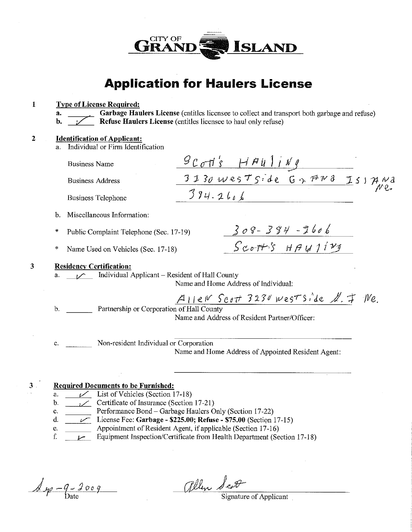

| a.     | <b>Identification of Applicant:</b><br>Individual or Firm Identification          |                                                                                                          |
|--------|-----------------------------------------------------------------------------------|----------------------------------------------------------------------------------------------------------|
|        | <b>Business Name</b>                                                              | $90018$ HAU $1109$                                                                                       |
|        | <b>Business Address</b>                                                           | $\frac{3130 \text{wesTSide}}{394.2666}$ Gr $\frac{F473}{W2}$ Is174 $\frac{N3}{W2}$                       |
|        | <b>Business Telephone</b>                                                         |                                                                                                          |
| b.     | Miscellaneous Information:                                                        |                                                                                                          |
| ∗      | Public Complaint Telephone (Sec. 17-19)                                           |                                                                                                          |
| $\ast$ | Name Used on Vehicles (Sec. 17-18)                                                | $308 - 384 - 2606$<br>Scott's HAU 1129                                                                   |
| a.     | <b>Residency Certification:</b><br>Individual Applicant - Resident of Hall County | Name and Home Address of Individual:                                                                     |
| $b$ .  | Partnership or Corporation of Hall County                                         | $A$ lle $N$ Scott 3230 westside $N$ . $\ddot{x}$<br>We.<br>Name and Address of Resident Partner/Officer: |
| c.     | Non-resident Individual or Corporation                                            | Name and Home Address of Appointed Resident Agent:                                                       |

List of Vehicles (Section 17-18)  $\overline{\nu}$ a.

**Type of License Required:** 

 $\mathbf{1}$ 

- Certificate of Insurance (Section 17-21)  $\mathbf{b}$ .
- Performance Bond Garbage Haulers Only (Section 17-22)  $\mathbf{c}$ .
- License Fee: Garbage \$225.00; Refuse \$75.00 (Section 17-15)  $d.$
- Appointment of Resident Agent, if applicable (Section 17-16) e.
- f. Equipment Inspection/Certificate from Health Department (Section 17-18)

 $\sqrt{\frac{q-9-2009}{\text{Date}}}$ 

allen Sco

Signature of Applicant